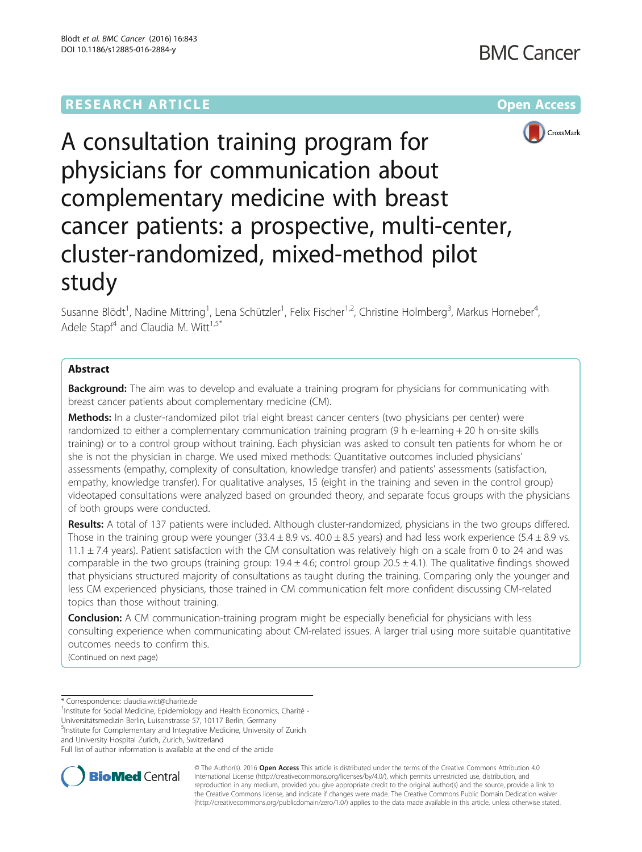



# A consultation training program for physicians for communication about complementary medicine with breast cancer patients: a prospective, multi-center, cluster-randomized, mixed-method pilot study

Susanne Blödt<sup>1</sup>, Nadine Mittring<sup>1</sup>, Lena Schützler<sup>1</sup>, Felix Fischer<sup>1,2</sup>, Christine Holmberg<sup>3</sup>, Markus Horneber<sup>4</sup> , Adele Stapf<sup>4</sup> and Claudia M. Witt<sup>1,5\*</sup>

## Abstract

**Background:** The aim was to develop and evaluate a training program for physicians for communicating with breast cancer patients about complementary medicine (CM).

Methods: In a cluster-randomized pilot trial eight breast cancer centers (two physicians per center) were randomized to either a complementary communication training program (9 h e-learning + 20 h on-site skills training) or to a control group without training. Each physician was asked to consult ten patients for whom he or she is not the physician in charge. We used mixed methods: Quantitative outcomes included physicians' assessments (empathy, complexity of consultation, knowledge transfer) and patients' assessments (satisfaction, empathy, knowledge transfer). For qualitative analyses, 15 (eight in the training and seven in the control group) videotaped consultations were analyzed based on grounded theory, and separate focus groups with the physicians of both groups were conducted.

Results: A total of 137 patients were included. Although cluster-randomized, physicians in the two groups differed. Those in the training group were younger (33.4  $\pm$  8.9 vs. 40.0  $\pm$  8.5 years) and had less work experience (5.4  $\pm$  8.9 vs. 11.1  $\pm$  7.4 years). Patient satisfaction with the CM consultation was relatively high on a scale from 0 to 24 and was comparable in the two groups (training group:  $19.4 \pm 4.6$ ; control group  $20.5 \pm 4.1$ ). The qualitative findings showed that physicians structured majority of consultations as taught during the training. Comparing only the younger and less CM experienced physicians, those trained in CM communication felt more confident discussing CM-related topics than those without training.

**Conclusion:** A CM communication-training program might be especially beneficial for physicians with less consulting experience when communicating about CM-related issues. A larger trial using more suitable quantitative outcomes needs to confirm this.

(Continued on next page)

\* Correspondence: [claudia.witt@charite.de](mailto:claudia.witt@charite.de) <sup>1</sup>

<sup>1</sup>Institute for Social Medicine, Epidemiology and Health Economics, Charité -Universitätsmedizin Berlin, Luisenstrasse 57, 10117 Berlin, Germany

5 Institute for Complementary and Integrative Medicine, University of Zurich

and University Hospital Zurich, Zurich, Switzerland

Full list of author information is available at the end of the article



© The Author(s). 2016 Open Access This article is distributed under the terms of the Creative Commons Attribution 4.0 International License [\(http://creativecommons.org/licenses/by/4.0/](http://creativecommons.org/licenses/by/4.0/)), which permits unrestricted use, distribution, and reproduction in any medium, provided you give appropriate credit to the original author(s) and the source, provide a link to the Creative Commons license, and indicate if changes were made. The Creative Commons Public Domain Dedication waiver [\(http://creativecommons.org/publicdomain/zero/1.0/](http://creativecommons.org/publicdomain/zero/1.0/)) applies to the data made available in this article, unless otherwise stated.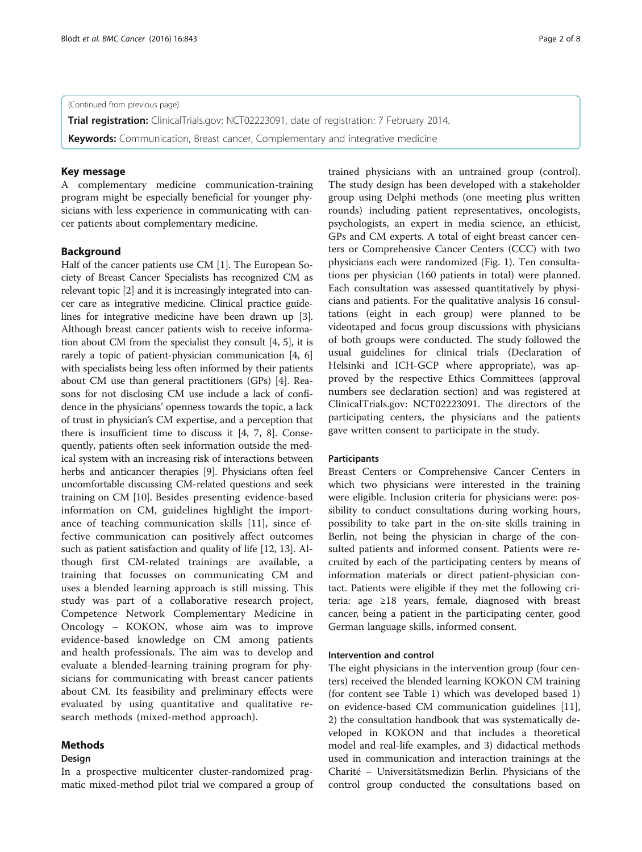## (Continued from previous page)

Trial registration: ClinicalTrials.gov: [NCT02223091,](https://clinicaltrials.gov/ct2/show/NCT02223091) date of registration: 7 February 2014.

**Keywords:** Communication, Breast cancer, Complementary and integrative medicine

#### Key message

A complementary medicine communication-training program might be especially beneficial for younger physicians with less experience in communicating with cancer patients about complementary medicine.

#### Background

Half of the cancer patients use CM [\[1\]](#page-7-0). The European Society of Breast Cancer Specialists has recognized CM as relevant topic [[2\]](#page-7-0) and it is increasingly integrated into cancer care as integrative medicine. Clinical practice guidelines for integrative medicine have been drawn up [[3](#page-7-0)]. Although breast cancer patients wish to receive information about CM from the specialist they consult [[4](#page-7-0), [5](#page-7-0)], it is rarely a topic of patient-physician communication [\[4](#page-7-0), [6](#page-7-0)] with specialists being less often informed by their patients about CM use than general practitioners (GPs) [[4](#page-7-0)]. Reasons for not disclosing CM use include a lack of confidence in the physicians' openness towards the topic, a lack of trust in physician's CM expertise, and a perception that there is insufficient time to discuss it [[4, 7](#page-7-0), [8](#page-7-0)]. Consequently, patients often seek information outside the medical system with an increasing risk of interactions between herbs and anticancer therapies [[9](#page-7-0)]. Physicians often feel uncomfortable discussing CM-related questions and seek training on CM [\[10\]](#page-7-0). Besides presenting evidence-based information on CM, guidelines highlight the importance of teaching communication skills [[11](#page-7-0)], since effective communication can positively affect outcomes such as patient satisfaction and quality of life [[12](#page-7-0), [13](#page-7-0)]. Although first CM-related trainings are available, a training that focusses on communicating CM and uses a blended learning approach is still missing. This study was part of a collaborative research project, Competence Network Complementary Medicine in Oncology – KOKON, whose aim was to improve evidence-based knowledge on CM among patients and health professionals. The aim was to develop and evaluate a blended-learning training program for physicians for communicating with breast cancer patients about CM. Its feasibility and preliminary effects were evaluated by using quantitative and qualitative research methods (mixed-method approach).

## Methods

## Design

In a prospective multicenter cluster-randomized pragmatic mixed-method pilot trial we compared a group of

trained physicians with an untrained group (control). The study design has been developed with a stakeholder group using Delphi methods (one meeting plus written rounds) including patient representatives, oncologists, psychologists, an expert in media science, an ethicist, GPs and CM experts. A total of eight breast cancer centers or Comprehensive Cancer Centers (CCC) with two physicians each were randomized (Fig. [1](#page-2-0)). Ten consultations per physician (160 patients in total) were planned. Each consultation was assessed quantitatively by physicians and patients. For the qualitative analysis 16 consultations (eight in each group) were planned to be videotaped and focus group discussions with physicians of both groups were conducted. The study followed the usual guidelines for clinical trials (Declaration of Helsinki and ICH-GCP where appropriate), was approved by the respective Ethics Committees (approval numbers see declaration section) and was registered at ClinicalTrials.gov: NCT02223091. The directors of the

#### Participants

Breast Centers or Comprehensive Cancer Centers in which two physicians were interested in the training were eligible. Inclusion criteria for physicians were: possibility to conduct consultations during working hours, possibility to take part in the on-site skills training in Berlin, not being the physician in charge of the consulted patients and informed consent. Patients were recruited by each of the participating centers by means of information materials or direct patient-physician contact. Patients were eligible if they met the following criteria: age ≥18 years, female, diagnosed with breast cancer, being a patient in the participating center, good German language skills, informed consent.

participating centers, the physicians and the patients

gave written consent to participate in the study.

#### Intervention and control

The eight physicians in the intervention group (four centers) received the blended learning KOKON CM training (for content see Table [1\)](#page-2-0) which was developed based 1) on evidence-based CM communication guidelines [\[11](#page-7-0)], 2) the consultation handbook that was systematically developed in KOKON and that includes a theoretical model and real-life examples, and 3) didactical methods used in communication and interaction trainings at the Charité – Universitätsmedizin Berlin. Physicians of the control group conducted the consultations based on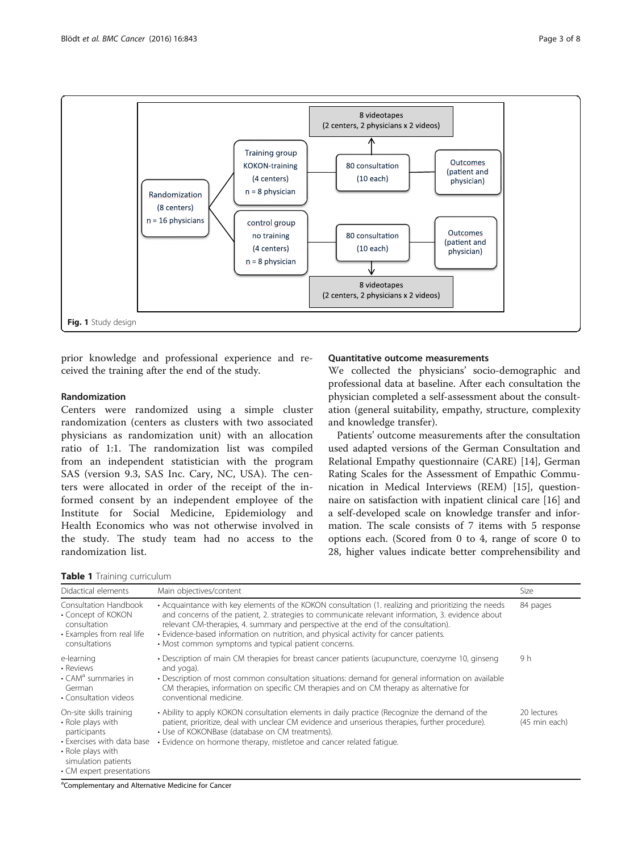<span id="page-2-0"></span>

prior knowledge and professional experience and received the training after the end of the study.

## Randomization

Centers were randomized using a simple cluster randomization (centers as clusters with two associated physicians as randomization unit) with an allocation ratio of 1:1. The randomization list was compiled from an independent statistician with the program SAS (version 9.3, SAS Inc. Cary, NC, USA). The centers were allocated in order of the receipt of the informed consent by an independent employee of the Institute for Social Medicine, Epidemiology and Health Economics who was not otherwise involved in the study. The study team had no access to the randomization list.

Table 1 Training curriculum

## Quantitative outcome measurements

We collected the physicians' socio-demographic and professional data at baseline. After each consultation the physician completed a self-assessment about the consultation (general suitability, empathy, structure, complexity and knowledge transfer).

Patients' outcome measurements after the consultation used adapted versions of the German Consultation and Relational Empathy questionnaire (CARE) [\[14](#page-7-0)], German Rating Scales for the Assessment of Empathic Communication in Medical Interviews (REM) [\[15](#page-7-0)], questionnaire on satisfaction with inpatient clinical care [\[16](#page-7-0)] and a self-developed scale on knowledge transfer and information. The scale consists of 7 items with 5 response options each. (Scored from 0 to 4, range of score 0 to 28, higher values indicate better comprehensibility and

| Didactical elements                                                                                                                                                 | Main objectives/content                                                                                                                                                                                                                                                                                                                                                                                                                         | Size                         |
|---------------------------------------------------------------------------------------------------------------------------------------------------------------------|-------------------------------------------------------------------------------------------------------------------------------------------------------------------------------------------------------------------------------------------------------------------------------------------------------------------------------------------------------------------------------------------------------------------------------------------------|------------------------------|
| Consultation Handbook<br>• Concept of KOKON<br>consultation<br>• Examples from real life<br>consultations                                                           | • Acquaintance with key elements of the KOKON consultation (1. realizing and prioritizing the needs<br>and concerns of the patient, 2. strategies to communicate relevant information, 3. evidence about<br>relevant CM-therapies, 4. summary and perspective at the end of the consultation).<br>• Evidence-based information on nutrition, and physical activity for cancer patients.<br>• Most common symptoms and typical patient concerns. | 84 pages                     |
| e-learning<br>• Reviews<br>• CAM <sup>a</sup> summaries in<br>German<br>• Consultation videos                                                                       | • Description of main CM therapies for breast cancer patients (acupuncture, coenzyme 10, ginseng<br>and yoga).<br>• Description of most common consultation situations: demand for general information on available<br>CM therapies, information on specific CM therapies and on CM therapy as alternative for<br>conventional medicine.                                                                                                        | 9 h                          |
| On-site skills training<br>• Role plays with<br>participants<br>• Exercises with data base<br>• Role plays with<br>simulation patients<br>• CM expert presentations | • Ability to apply KOKON consultation elements in daily practice (Recognize the demand of the<br>patient, prioritize, deal with unclear CM evidence and unserious therapies, further procedure).<br>• Use of KOKONBase (database on CM treatments).<br>. Evidence on hormone therapy, mistletoe and cancer related fatique.                                                                                                                     | 20 lectures<br>(45 min each) |

<sup>a</sup>Complementary and Alternative Medicine for Cancer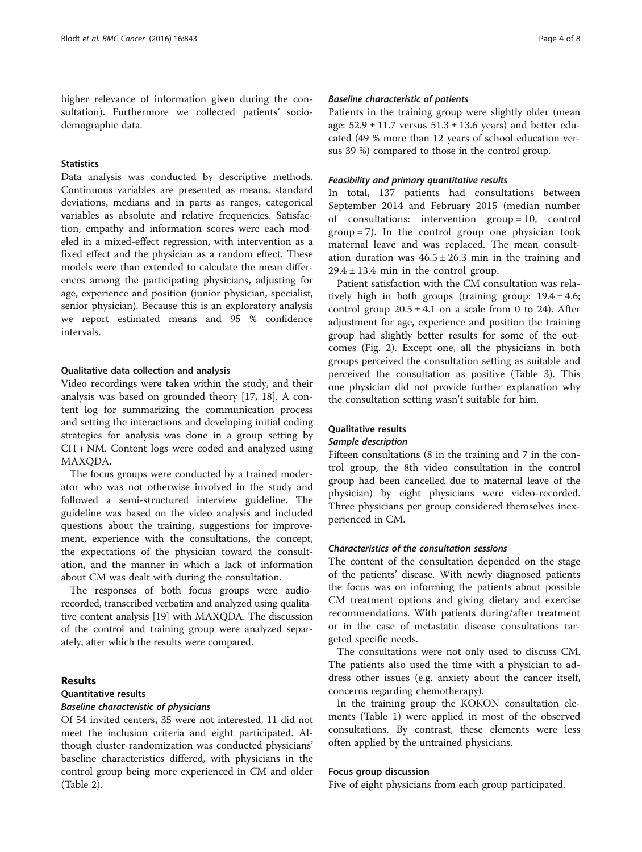higher relevance of information given during the consultation). Furthermore we collected patients' sociodemographic data.

## **Statistics**

Data analysis was conducted by descriptive methods. Continuous variables are presented as means, standard deviations, medians and in parts as ranges, categorical variables as absolute and relative frequencies. Satisfaction, empathy and information scores were each modeled in a mixed-effect regression, with intervention as a fixed effect and the physician as a random effect. These models were than extended to calculate the mean differences among the participating physicians, adjusting for age, experience and position (junior physician, specialist, senior physician). Because this is an exploratory analysis we report estimated means and 95 % confidence intervals.

#### Qualitative data collection and analysis

Video recordings were taken within the study, and their analysis was based on grounded theory [\[17, 18\]](#page-7-0). A content log for summarizing the communication process and setting the interactions and developing initial coding strategies for analysis was done in a group setting by CH + NM. Content logs were coded and analyzed using MAXQDA.

The focus groups were conducted by a trained moderator who was not otherwise involved in the study and followed a semi-structured interview guideline. The guideline was based on the video analysis and included questions about the training, suggestions for improvement, experience with the consultations, the concept, the expectations of the physician toward the consultation, and the manner in which a lack of information about CM was dealt with during the consultation.

The responses of both focus groups were audiorecorded, transcribed verbatim and analyzed using qualitative content analysis [[19](#page-7-0)] with MAXQDA. The discussion of the control and training group were analyzed separately, after which the results were compared.

## Results

## Quantitative results

#### Baseline characteristic of physicians

Of 54 invited centers, 35 were not interested, 11 did not meet the inclusion criteria and eight participated. Although cluster-randomization was conducted physicians' baseline characteristics differed, with physicians in the control group being more experienced in CM and older (Table [2\)](#page-4-0).

## Baseline characteristic of patients

Patients in the training group were slightly older (mean age:  $52.9 \pm 11.7$  versus  $51.3 \pm 13.6$  years) and better educated (49 % more than 12 years of school education versus 39 %) compared to those in the control group.

#### Feasibility and primary quantitative results

In total, 137 patients had consultations between September 2014 and February 2015 (median number of consultations: intervention group = 10, control group = 7). In the control group one physician took maternal leave and was replaced. The mean consultation duration was  $46.5 \pm 26.3$  min in the training and  $29.4 \pm 13.4$  min in the control group.

Patient satisfaction with the CM consultation was relatively high in both groups (training group:  $19.4 \pm 4.6$ ; control group  $20.5 \pm 4.1$  on a scale from 0 to 24). After adjustment for age, experience and position the training group had slightly better results for some of the outcomes (Fig. [2](#page-5-0)). Except one, all the physicians in both groups perceived the consultation setting as suitable and perceived the consultation as positive (Table [3\)](#page-5-0). This one physician did not provide further explanation why the consultation setting wasn't suitable for him.

## Qualitative results

## Sample description

Fifteen consultations (8 in the training and 7 in the control group, the 8th video consultation in the control group had been cancelled due to maternal leave of the physician) by eight physicians were video-recorded. Three physicians per group considered themselves inexperienced in CM.

## Characteristics of the consultation sessions

The content of the consultation depended on the stage of the patients' disease. With newly diagnosed patients the focus was on informing the patients about possible CM treatment options and giving dietary and exercise recommendations. With patients during/after treatment or in the case of metastatic disease consultations targeted specific needs.

The consultations were not only used to discuss CM. The patients also used the time with a physician to address other issues (e.g. anxiety about the cancer itself, concerns regarding chemotherapy).

In the training group the KOKON consultation elements (Table [1](#page-2-0)) were applied in most of the observed consultations. By contrast, these elements were less often applied by the untrained physicians.

## Focus group discussion

Five of eight physicians from each group participated.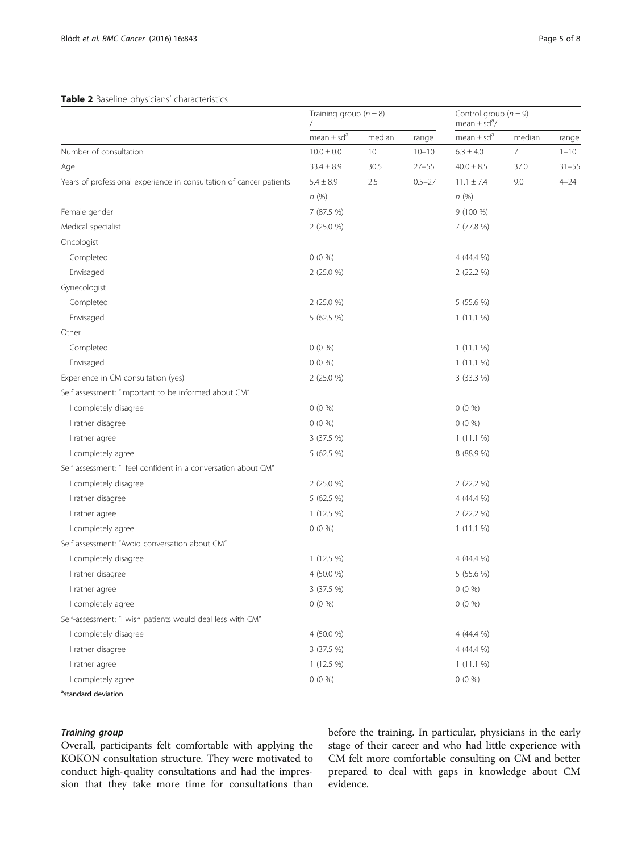#### <span id="page-4-0"></span>Table 2 Baseline physicians' characteristics

|                                                                     | Training group $(n = 8)$   |        | Control group $(n = 9)$<br>mean $\pm$ sd <sup>a</sup> / |                            |        |           |
|---------------------------------------------------------------------|----------------------------|--------|---------------------------------------------------------|----------------------------|--------|-----------|
|                                                                     | mean $\pm$ sd <sup>a</sup> | median | range                                                   | mean $\pm$ sd <sup>a</sup> | median | range     |
| Number of consultation                                              | $10.0 \pm 0.0$             | 10     | $10 - 10$                                               | $6.3 \pm 4.0$              | 7      | $1 - 10$  |
| Age                                                                 | $33.4 \pm 8.9$             | 30.5   | $27 - 55$                                               | $40.0 \pm 8.5$             | 37.0   | $31 - 55$ |
| Years of professional experience in consultation of cancer patients | $5.4 \pm 8.9$              | 2.5    | $0.5 - 27$                                              | $11.1 \pm 7.4$             | 9.0    | $4 - 24$  |
|                                                                     | n(%)                       |        |                                                         | n(%)                       |        |           |
| Female gender                                                       | 7 (87.5 %)                 |        |                                                         | $9(100\%)$                 |        |           |
| Medical specialist                                                  | 2 (25.0 %)                 |        |                                                         | 7(77.8%)                   |        |           |
| Oncologist                                                          |                            |        |                                                         |                            |        |           |
| Completed                                                           | $0(0\%)$                   |        |                                                         | 4 (44.4 %)                 |        |           |
| Envisaged                                                           | 2 (25.0 %)                 |        |                                                         | 2 (22.2 %)                 |        |           |
| Gynecologist                                                        |                            |        |                                                         |                            |        |           |
| Completed                                                           | 2 (25.0 %)                 |        |                                                         | 5 (55.6 %)                 |        |           |
| Envisaged                                                           | 5 (62.5 %)                 |        |                                                         | 1(11.1%)                   |        |           |
| Other                                                               |                            |        |                                                         |                            |        |           |
| Completed                                                           | $0(0\%)$                   |        |                                                         | $1(11.1\%)$                |        |           |
| Envisaged                                                           | $0(0\%)$                   |        |                                                         | 1(11.1%)                   |        |           |
| Experience in CM consultation (yes)                                 | 2 (25.0 %)                 |        |                                                         | 3 (33.3 %)                 |        |           |
| Self assessment: "Important to be informed about CM"                |                            |        |                                                         |                            |        |           |
| I completely disagree                                               | $0(0\%)$                   |        |                                                         | $0(0\%)$                   |        |           |
| I rather disagree                                                   | $0(0\%)$                   |        |                                                         | $0(0\%)$                   |        |           |
| I rather agree                                                      | 3 (37.5 %)                 |        |                                                         | 1(11.1%)                   |        |           |
| I completely agree                                                  | 5 (62.5 %)                 |        |                                                         | 8 (88.9 %)                 |        |           |
| Self assessment: "I feel confident in a conversation about CM"      |                            |        |                                                         |                            |        |           |
| I completely disagree                                               | 2 (25.0 %)                 |        |                                                         | 2 (22.2 %)                 |        |           |
| I rather disagree                                                   | 5 (62.5 %)                 |        |                                                         | 4 (44.4 %)                 |        |           |
| I rather agree                                                      | 1 (12.5 %)                 |        |                                                         | 2 (22.2 %)                 |        |           |
| I completely agree                                                  | $0(0\%)$                   |        |                                                         | 1(11.1%                    |        |           |
| Self assessment: "Avoid conversation about CM"                      |                            |        |                                                         |                            |        |           |
| I completely disagree                                               | $1(12.5\%)$                |        |                                                         | 4 (44.4 %)                 |        |           |
| I rather disagree                                                   | 4 (50.0 %)                 |        |                                                         | 5 (55.6 %)                 |        |           |
| I rather agree                                                      | 3 (37.5 %)                 |        |                                                         | $0(0\%)$                   |        |           |
| I completely agree                                                  | $0(0\%)$                   |        |                                                         | $0(0\%)$                   |        |           |
| Self-assessment: "I wish patients would deal less with CM"          |                            |        |                                                         |                            |        |           |
| I completely disagree                                               | 4 (50.0 %)                 |        |                                                         | 4 (44.4 %)                 |        |           |
| I rather disagree                                                   | 3 (37.5 %)                 |        |                                                         | 4 (44.4 %)                 |        |           |
| I rather agree                                                      | 1 (12.5 %)                 |        |                                                         | $1(11.1\%)$                |        |           |
| I completely agree                                                  | $0(0\%)$                   |        |                                                         | $0(0\%)$                   |        |           |

<sup>a</sup>standard deviation

## Training group

Overall, participants felt comfortable with applying the KOKON consultation structure. They were motivated to conduct high-quality consultations and had the impression that they take more time for consultations than before the training. In particular, physicians in the early stage of their career and who had little experience with CM felt more comfortable consulting on CM and better prepared to deal with gaps in knowledge about CM evidence.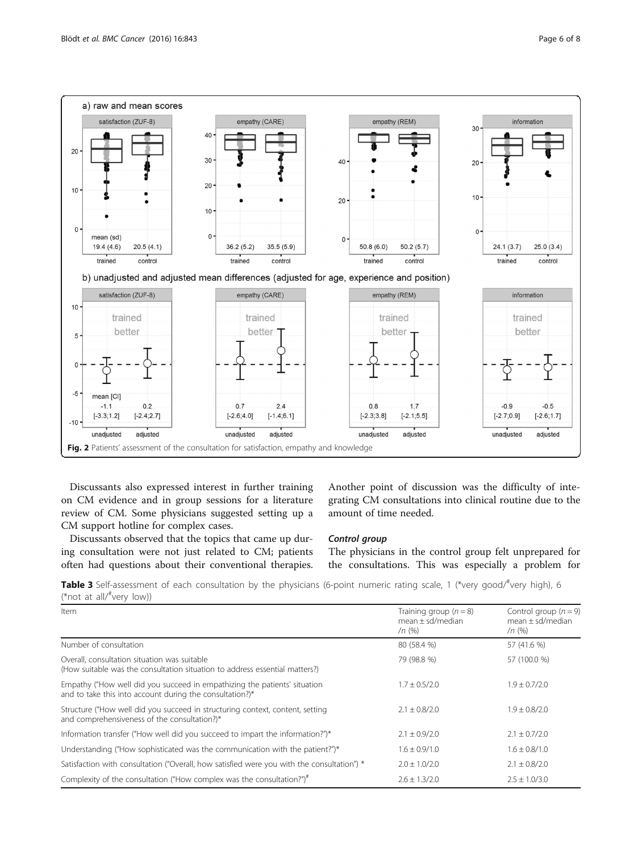<span id="page-5-0"></span>

Discussants also expressed interest in further training on CM evidence and in group sessions for a literature review of CM. Some physicians suggested setting up a CM support hotline for complex cases.

Discussants observed that the topics that came up during consultation were not just related to CM; patients often had questions about their conventional therapies. Another point of discussion was the difficulty of integrating CM consultations into clinical routine due to the amount of time needed.

#### Control group

The physicians in the control group felt unprepared for the consultations. This was especially a problem for

Table 3 Self-assessment of each consultation by the physicians (6-point numeric rating scale, 1 (\*very good/#very high), 6 (\*not at all/# very low))

| Item                                                                                                                                  | Training group $(n = 8)$<br>$mean + sd/m$ edian<br>$/n$ (%) | Control group $(n = 9)$<br>$mean + sd/m$ edian<br>$/n$ (%) |
|---------------------------------------------------------------------------------------------------------------------------------------|-------------------------------------------------------------|------------------------------------------------------------|
| Number of consultation                                                                                                                | 80 (58.4 %)                                                 | 57 (41.6 %)                                                |
| Overall, consultation situation was suitable<br>(How suitable was the consultation situation to address essential matters?)           | 79 (98.8 %)                                                 | 57 (100.0 %)                                               |
| Empathy ("How well did you succeed in empathizing the patients' situation<br>and to take this into account during the consultation?)* | $1.7 \pm 0.5/2.0$                                           | $1.9 \pm 0.7/2.0$                                          |
| Structure ("How well did you succeed in structuring context, content, setting<br>and comprehensiveness of the consultation?)*         | $2.1 \pm 0.8/2.0$                                           | $1.9 \pm 0.8/2.0$                                          |
| Information transfer ("How well did you succeed to impart the information?")*                                                         | $2.1 \pm 0.9/2.0$                                           | $2.1 \pm 0.7/2.0$                                          |
| Understanding ("How sophisticated was the communication with the patient?")*                                                          | $1.6 \pm 0.9/1.0$                                           | $1.6 \pm 0.8/1.0$                                          |
| Satisfaction with consultation ("Overall, how satisfied were you with the consultation") *                                            | $2.0 \pm 1.0/2.0$                                           | $2.1 \pm 0.8/2.0$                                          |
| Complexity of the consultation ("How complex was the consultation?")#                                                                 | $2.6 \pm 1.3/2.0$                                           | $2.5 \pm 1.0/3.0$                                          |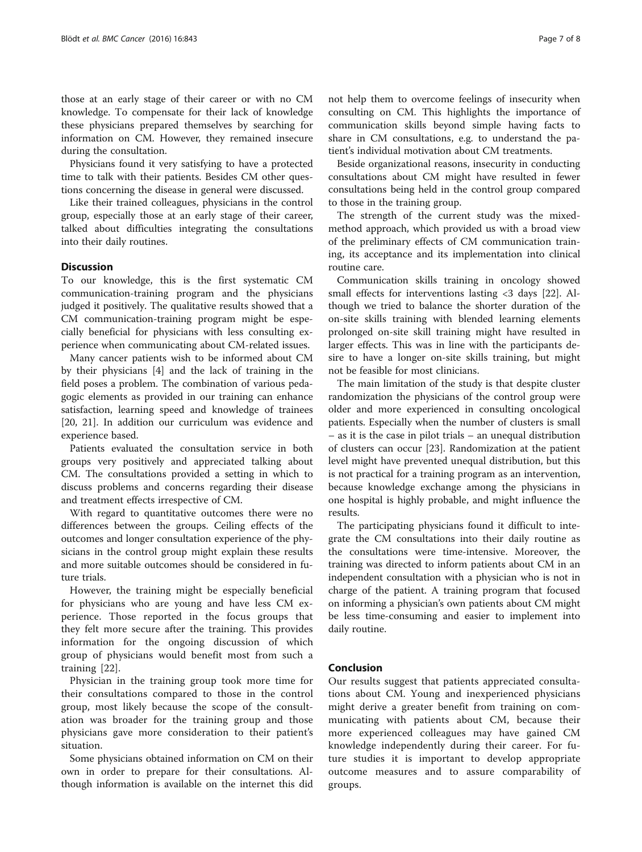those at an early stage of their career or with no CM knowledge. To compensate for their lack of knowledge these physicians prepared themselves by searching for information on CM. However, they remained insecure during the consultation.

Physicians found it very satisfying to have a protected time to talk with their patients. Besides CM other questions concerning the disease in general were discussed.

Like their trained colleagues, physicians in the control group, especially those at an early stage of their career, talked about difficulties integrating the consultations into their daily routines.

## **Discussion**

To our knowledge, this is the first systematic CM communication-training program and the physicians judged it positively. The qualitative results showed that a CM communication-training program might be especially beneficial for physicians with less consulting experience when communicating about CM-related issues.

Many cancer patients wish to be informed about CM by their physicians [[4](#page-7-0)] and the lack of training in the field poses a problem. The combination of various pedagogic elements as provided in our training can enhance satisfaction, learning speed and knowledge of trainees [[20, 21](#page-7-0)]. In addition our curriculum was evidence and experience based.

Patients evaluated the consultation service in both groups very positively and appreciated talking about CM. The consultations provided a setting in which to discuss problems and concerns regarding their disease and treatment effects irrespective of CM.

With regard to quantitative outcomes there were no differences between the groups. Ceiling effects of the outcomes and longer consultation experience of the physicians in the control group might explain these results and more suitable outcomes should be considered in future trials.

However, the training might be especially beneficial for physicians who are young and have less CM experience. Those reported in the focus groups that they felt more secure after the training. This provides information for the ongoing discussion of which group of physicians would benefit most from such a training [\[22](#page-7-0)].

Physician in the training group took more time for their consultations compared to those in the control group, most likely because the scope of the consultation was broader for the training group and those physicians gave more consideration to their patient's situation.

Some physicians obtained information on CM on their own in order to prepare for their consultations. Although information is available on the internet this did not help them to overcome feelings of insecurity when consulting on CM. This highlights the importance of communication skills beyond simple having facts to share in CM consultations, e.g. to understand the patient's individual motivation about CM treatments.

Beside organizational reasons, insecurity in conducting consultations about CM might have resulted in fewer consultations being held in the control group compared to those in the training group.

The strength of the current study was the mixedmethod approach, which provided us with a broad view of the preliminary effects of CM communication training, its acceptance and its implementation into clinical routine care.

Communication skills training in oncology showed small effects for interventions lasting <3 days [\[22\]](#page-7-0). Although we tried to balance the shorter duration of the on-site skills training with blended learning elements prolonged on-site skill training might have resulted in larger effects. This was in line with the participants desire to have a longer on-site skills training, but might not be feasible for most clinicians.

The main limitation of the study is that despite cluster randomization the physicians of the control group were older and more experienced in consulting oncological patients. Especially when the number of clusters is small – as it is the case in pilot trials – an unequal distribution of clusters can occur [\[23](#page-7-0)]. Randomization at the patient level might have prevented unequal distribution, but this is not practical for a training program as an intervention, because knowledge exchange among the physicians in one hospital is highly probable, and might influence the results.

The participating physicians found it difficult to integrate the CM consultations into their daily routine as the consultations were time-intensive. Moreover, the training was directed to inform patients about CM in an independent consultation with a physician who is not in charge of the patient. A training program that focused on informing a physician's own patients about CM might be less time-consuming and easier to implement into daily routine.

## Conclusion

Our results suggest that patients appreciated consultations about CM. Young and inexperienced physicians might derive a greater benefit from training on communicating with patients about CM, because their more experienced colleagues may have gained CM knowledge independently during their career. For future studies it is important to develop appropriate outcome measures and to assure comparability of groups.